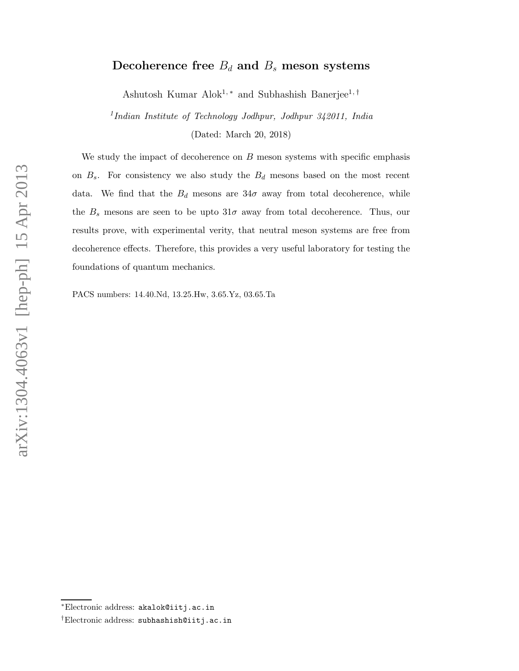# Decoherence free  $B_d$  and  $B_s$  meson systems

Ashutosh Kumar Alok<sup>1,\*</sup> and Subhashish Banerjee<sup>1,†</sup>

<sup>1</sup>Indian Institute of Technology Jodhpur, Jodhpur 342011, India (Dated: March 20, 2018)

We study the impact of decoherence on  $B$  meson systems with specific emphasis on  $B_s$ . For consistency we also study the  $B_d$  mesons based on the most recent data. We find that the  $B_d$  mesons are 34 $\sigma$  away from total decoherence, while the  $B_s$  mesons are seen to be upto  $31\sigma$  away from total decoherence. Thus, our results prove, with experimental verity, that neutral meson systems are free from decoherence effects. Therefore, this provides a very useful laboratory for testing the foundations of quantum mechanics.

PACS numbers: 14.40.Nd, 13.25.Hw, 3.65.Yz, 03.65.Ta

<sup>∗</sup>Electronic address: akalok@iitj.ac.in

<sup>†</sup>Electronic address: subhashish@iitj.ac.in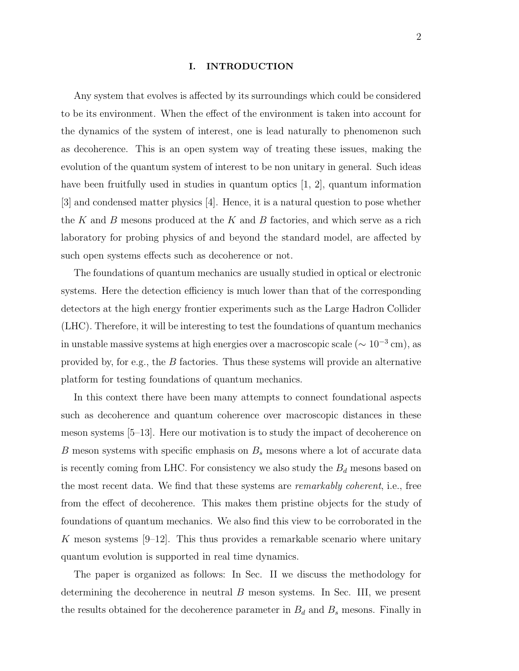### I. INTRODUCTION

Any system that evolves is affected by its surroundings which could be considered to be its environment. When the effect of the environment is taken into account for the dynamics of the system of interest, one is lead naturally to phenomenon such as decoherence. This is an open system way of treating these issues, making the evolution of the quantum system of interest to be non unitary in general. Such ideas have been fruitfully used in studies in quantum optics [1, 2], quantum information [3] and condensed matter physics [4]. Hence, it is a natural question to pose whether the  $K$  and  $B$  mesons produced at the  $K$  and  $B$  factories, and which serve as a rich laboratory for probing physics of and beyond the standard model, are affected by such open systems effects such as decoherence or not.

The foundations of quantum mechanics are usually studied in optical or electronic systems. Here the detection efficiency is much lower than that of the corresponding detectors at the high energy frontier experiments such as the Large Hadron Collider (LHC). Therefore, it will be interesting to test the foundations of quantum mechanics in unstable massive systems at high energies over a macroscopic scale ( $\sim 10^{-3}$  cm), as provided by, for e.g., the B factories. Thus these systems will provide an alternative platform for testing foundations of quantum mechanics.

In this context there have been many attempts to connect foundational aspects such as decoherence and quantum coherence over macroscopic distances in these meson systems [5–13]. Here our motivation is to study the impact of decoherence on B meson systems with specific emphasis on  $B_s$  mesons where a lot of accurate data is recently coming from LHC. For consistency we also study the  $B_d$  mesons based on the most recent data. We find that these systems are remarkably coherent, i.e., free from the effect of decoherence. This makes them pristine objects for the study of foundations of quantum mechanics. We also find this view to be corroborated in the K meson systems  $[9-12]$ . This thus provides a remarkable scenario where unitary quantum evolution is supported in real time dynamics.

The paper is organized as follows: In Sec. II we discuss the methodology for determining the decoherence in neutral B meson systems. In Sec. III, we present the results obtained for the decoherence parameter in  $B_d$  and  $B_s$  mesons. Finally in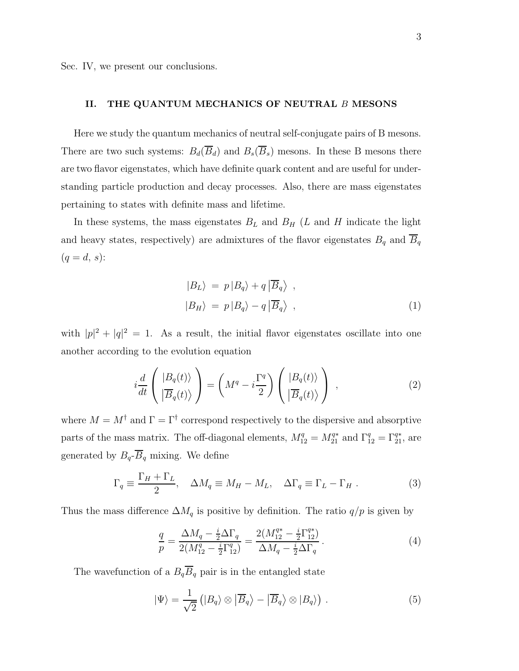Sec. IV, we present our conclusions.

# II. THE QUANTUM MECHANICS OF NEUTRAL B MESONS

Here we study the quantum mechanics of neutral self-conjugate pairs of B mesons. There are two such systems:  $B_d(\overline{B}_d)$  and  $B_s(\overline{B}_s)$  mesons. In these B mesons there are two flavor eigenstates, which have definite quark content and are useful for understanding particle production and decay processes. Also, there are mass eigenstates pertaining to states with definite mass and lifetime.

In these systems, the mass eigenstates  $B_L$  and  $B_H$  (L and H indicate the light and heavy states, respectively) are admixtures of the flavor eigenstates  $B_q$  and  $B_q$  $(q = d, s)$ :

$$
|B_L\rangle = p |B_q\rangle + q |\overline{B}_q\rangle ,|B_H\rangle = p |B_q\rangle - q |\overline{B}_q\rangle ,
$$
 (1)

with  $|p|^2 + |q|^2 = 1$ . As a result, the initial flavor eigenstates oscillate into one another according to the evolution equation

$$
i\frac{d}{dt}\left(\frac{|B_q(t)\rangle}{|\overline{B}_q(t)\rangle}\right) = \left(M^q - i\frac{\Gamma^q}{2}\right)\left(\frac{|B_q(t)\rangle}{|\overline{B}_q(t)\rangle}\right) ,\qquad (2)
$$

where  $M = M^{\dagger}$  and  $\Gamma = \Gamma^{\dagger}$  correspond respectively to the dispersive and absorptive parts of the mass matrix. The off-diagonal elements,  $M_{12}^q = M_{21}^{q*}$  and  $\Gamma_{12}^q = \Gamma_{21}^{q*}$ , are generated by  $B_q$ - $\overline{B}_q$  mixing. We define

$$
\Gamma_q \equiv \frac{\Gamma_H + \Gamma_L}{2}, \quad \Delta M_q \equiv M_H - M_L, \quad \Delta \Gamma_q \equiv \Gamma_L - \Gamma_H . \tag{3}
$$

Thus the mass difference  $\Delta M_q$  is positive by definition. The ratio  $q/p$  is given by

$$
\frac{q}{p} = \frac{\Delta M_q - \frac{i}{2}\Delta\Gamma_q}{2(M_{12}^q - \frac{i}{2}\Gamma_{12}^q)} = \frac{2(M_{12}^{q*} - \frac{i}{2}\Gamma_{12}^{q*})}{\Delta M_q - \frac{i}{2}\Delta\Gamma_q}.
$$
\n(4)

The wavefunction of a  $B_q \overline{B}_q$  pair is in the entangled state

$$
|\Psi\rangle = \frac{1}{\sqrt{2}} (|B_q\rangle \otimes |\overline{B}_q\rangle - |\overline{B}_q\rangle \otimes |B_q\rangle). \tag{5}
$$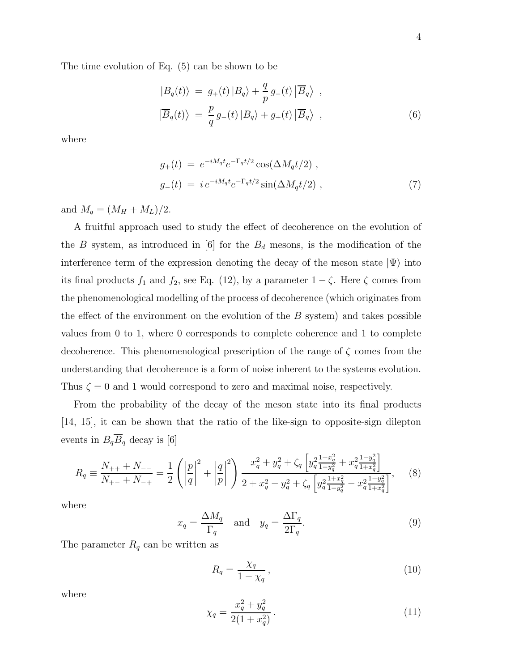The time evolution of Eq. (5) can be shown to be

$$
|B_q(t)\rangle = g_+(t) |B_q\rangle + \frac{q}{p} g_-(t) | \overline{B}_q\rangle ,
$$
  

$$
|\overline{B}_q(t)\rangle = \frac{p}{q} g_-(t) |B_q\rangle + g_+(t) | \overline{B}_q\rangle ,
$$
 (6)

where

$$
g_{+}(t) = e^{-iM_qt}e^{-\Gamma_qt/2}\cos(\Delta M_qt/2) ,
$$
  
\n
$$
g_{-}(t) = i e^{-iM_qt}e^{-\Gamma_qt/2}\sin(\Delta M_qt/2) ,
$$
\n(7)

and  $M_q = (M_H + M_L)/2$ .

A fruitful approach used to study the effect of decoherence on the evolution of the B system, as introduced in [6] for the  $B_d$  mesons, is the modification of the interference term of the expression denoting the decay of the meson state  $|\Psi\rangle$  into its final products  $f_1$  and  $f_2$ , see Eq. (12), by a parameter  $1 - \zeta$ . Here  $\zeta$  comes from the phenomenological modelling of the process of decoherence (which originates from the effect of the environment on the evolution of the  $B$  system) and takes possible values from 0 to 1, where 0 corresponds to complete coherence and 1 to complete decoherence. This phenomenological prescription of the range of  $\zeta$  comes from the understanding that decoherence is a form of noise inherent to the systems evolution. Thus  $\zeta = 0$  and 1 would correspond to zero and maximal noise, respectively.

From the probability of the decay of the meson state into its final products [14, 15], it can be shown that the ratio of the like-sign to opposite-sign dilepton events in  $B_q \overline{B}_q$  decay is [6]

$$
R_{q} \equiv \frac{N_{++} + N_{--}}{N_{+-} + N_{-+}} = \frac{1}{2} \left( \left| \frac{p}{q} \right|^{2} + \left| \frac{q}{p} \right|^{2} \right) \frac{x_{q}^{2} + y_{q}^{2} + \zeta_{q} \left[ y_{q}^{2} \frac{1 + x_{q}^{2}}{1 - y_{q}^{2}} + x_{q}^{2} \frac{1 - y_{q}^{2}}{1 + x_{q}^{2}} \right]}{2 + x_{q}^{2} - y_{q}^{2} + \zeta_{q} \left[ y_{q}^{2} \frac{1 + x_{q}^{2}}{1 - y_{q}^{2}} - x_{q}^{2} \frac{1 - y_{q}^{2}}{1 + x_{q}^{2}} \right]},
$$
(8)

where

$$
x_q = \frac{\Delta M_q}{\Gamma_q} \quad \text{and} \quad y_q = \frac{\Delta \Gamma_q}{2\Gamma_q}.\tag{9}
$$

The parameter  $R_q$  can be written as

$$
R_q = \frac{\chi_q}{1 - \chi_q},\tag{10}
$$

where

$$
\chi_q = \frac{x_q^2 + y_q^2}{2(1 + x_q^2)}.
$$
\n(11)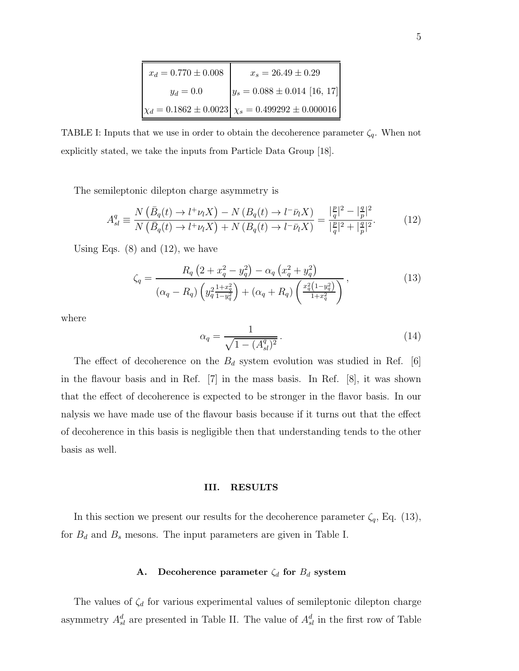| $x_d=0.770\pm0.008$ | $x_s = 26.49 \pm 0.29$                                            |
|---------------------|-------------------------------------------------------------------|
| $y_d = 0.0$         | $y_s = 0.088 \pm 0.014$ [16, 17]                                  |
|                     | $\chi_d = 0.1862 \pm 0.0023 \vert \chi_s = 0.499292 \pm 0.000016$ |

TABLE I: Inputs that we use in order to obtain the decoherence parameter  $\zeta_q$ . When not explicitly stated, we take the inputs from Particle Data Group [18].

The semileptonic dilepton charge asymmetry is

$$
A_{sl}^q \equiv \frac{N\left(\bar{B}_q(t) \to l^+\nu_l X\right) - N\left(B_q(t) \to l^-\bar{\nu}_l X\right)}{N\left(\bar{B}_q(t) \to l^+\nu_l X\right) + N\left(B_q(t) \to l^-\bar{\nu}_l X\right)} = \frac{|\frac{p}{q}|^2 - |\frac{q}{p}|^2}{|\frac{p}{q}|^2 + |\frac{q}{p}|^2}.\tag{12}
$$

Using Eqs.  $(8)$  and  $(12)$ , we have

$$
\zeta_q = \frac{R_q \left(2 + x_q^2 - y_q^2\right) - \alpha_q \left(x_q^2 + y_q^2\right)}{\left(\alpha_q - R_q\right) \left(y_q^2 \frac{1 + x_q^2}{1 - y_q^2}\right) + \left(\alpha_q + R_q\right) \left(\frac{x_q^2 \left(1 - y_q^2\right)}{1 + x_q^2}\right)},\tag{13}
$$

where

$$
\alpha_q = \frac{1}{\sqrt{1 - (A_{sl}^q)^2}}.
$$
\n(14)

The effect of decoherence on the  $B_d$  system evolution was studied in Ref. [6] in the flavour basis and in Ref. [7] in the mass basis. In Ref. [8], it was shown that the effect of decoherence is expected to be stronger in the flavor basis. In our nalysis we have made use of the flavour basis because if it turns out that the effect of decoherence in this basis is negligible then that understanding tends to the other basis as well.

#### III. RESULTS

In this section we present our results for the decoherence parameter  $\zeta_q$ , Eq. (13), for  $B_d$  and  $B_s$  mesons. The input parameters are given in Table I.

## A. Decoherence parameter  $\zeta_d$  for  $B_d$  system

The values of  $\zeta_d$  for various experimental values of semileptonic dilepton charge asymmetry  $A_{sl}^d$  are presented in Table II. The value of  $A_{sl}^d$  in the first row of Table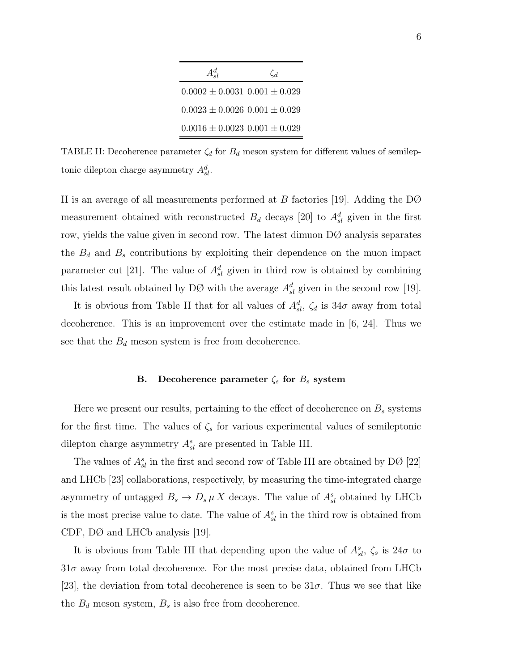| $A_{\mathcal{A}}^d$                   | Ċл |
|---------------------------------------|----|
| $0.0002 \pm 0.0031$ $0.001 \pm 0.029$ |    |
| $0.0023 \pm 0.0026$ $0.001 \pm 0.029$ |    |
| $0.0016 \pm 0.0023$ $0.001 \pm 0.029$ |    |

TABLE II: Decoherence parameter  $\zeta_d$  for  $B_d$  meson system for different values of semileptonic dilepton charge asymmetry  $A_{sl}^d$ .

II is an average of all measurements performed at B factories [19]. Adding the DØ measurement obtained with reconstructed  $B_d$  decays [20] to  $A_{sl}^d$  given in the first row, yields the value given in second row. The latest dimuon DØ analysis separates the  $B_d$  and  $B_s$  contributions by exploiting their dependence on the muon impact parameter cut [21]. The value of  $A_{sl}^d$  given in third row is obtained by combining this latest result obtained by DØ with the average  $A_{sl}^d$  given in the second row [19].

It is obvious from Table II that for all values of  $A_{sl}^d$ ,  $\zeta_d$  is  $34\sigma$  away from total decoherence. This is an improvement over the estimate made in [6, 24]. Thus we see that the  $B_d$  meson system is free from decoherence.

### B. Decoherence parameter  $\zeta_s$  for  $B_s$  system

Here we present our results, pertaining to the effect of decoherence on  $B<sub>s</sub>$  systems for the first time. The values of  $\zeta_s$  for various experimental values of semileptonic dilepton charge asymmetry  $A_{sl}^s$  are presented in Table III.

The values of  $A_{sl}^s$  in the first and second row of Table III are obtained by DØ [22] and LHCb [23] collaborations, respectively, by measuring the time-integrated charge asymmetry of untagged  $B_s \to D_s \mu X$  decays. The value of  $A_{sl}^s$  obtained by LHCb is the most precise value to date. The value of  $A_{sl}^s$  in the third row is obtained from CDF, DØ and LHCb analysis [19].

It is obvious from Table III that depending upon the value of  $A_{sl}^s$ ,  $\zeta_s$  is  $24\sigma$  to  $31\sigma$  away from total decoherence. For the most precise data, obtained from LHCb [23], the deviation from total decoherence is seen to be  $31\sigma$ . Thus we see that like the  $B_d$  meson system,  $B_s$  is also free from decoherence.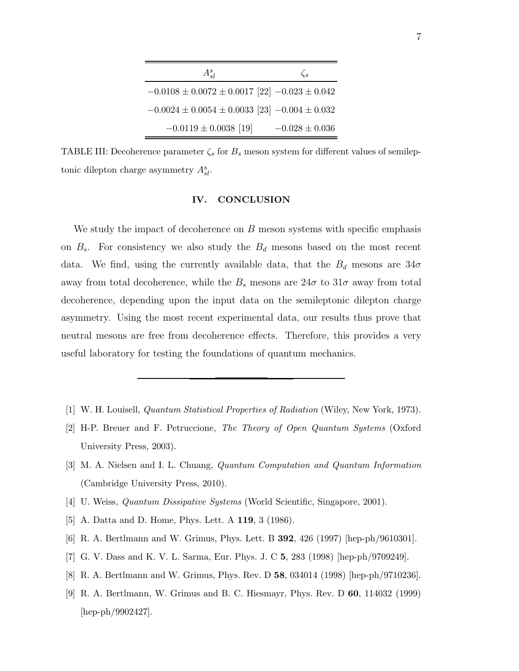| $A_{sl}^s$                                              | $\mathcal{C}_s$    |
|---------------------------------------------------------|--------------------|
| $-0.0108 \pm 0.0072 \pm 0.0017$ [22] $-0.023 \pm 0.042$ |                    |
| $-0.0024 \pm 0.0054 \pm 0.0033$ [23] $-0.004 \pm 0.032$ |                    |
| $-0.0119 \pm 0.0038$ [19]                               | $-0.028 \pm 0.036$ |

TABLE III: Decoherence parameter  $\zeta_s$  for  $B_s$  meson system for different values of semileptonic dilepton charge asymmetry  $A_{sl}^s$ .

## IV. CONCLUSION

We study the impact of decoherence on  $B$  meson systems with specific emphasis on  $B_s$ . For consistency we also study the  $B_d$  mesons based on the most recent data. We find, using the currently available data, that the  $B_d$  mesons are  $34\sigma$ away from total decoherence, while the  $B_s$  mesons are  $24\sigma$  to  $31\sigma$  away from total decoherence, depending upon the input data on the semileptonic dilepton charge asymmetry. Using the most recent experimental data, our results thus prove that neutral mesons are free from decoherence effects. Therefore, this provides a very useful laboratory for testing the foundations of quantum mechanics.

- [1] W. H. Louisell, Quantum Statistical Properties of Radiation (Wiley, New York, 1973).
- [2] H-P. Breuer and F. Petruccione, The Theory of Open Quantum Systems (Oxford University Press, 2003).
- [3] M. A. Nielsen and I. L. Chuang, Quantum Computation and Quantum Information (Cambridge University Press, 2010).
- [4] U. Weiss, Quantum Dissipative Systems (World Scientific, Singapore, 2001).
- [5] A. Datta and D. Home, Phys. Lett. A 119, 3 (1986).
- [6] R. A. Bertlmann and W. Grimus, Phys. Lett. B 392, 426 (1997) [hep-ph/9610301].
- [7] G. V. Dass and K. V. L. Sarma, Eur. Phys. J. C 5, 283 (1998) [hep-ph/9709249].
- [8] R. A. Bertlmann and W. Grimus, Phys. Rev. D 58, 034014 (1998) [hep-ph/9710236].
- [9] R. A. Bertlmann, W. Grimus and B. C. Hiesmayr, Phys. Rev. D 60, 114032 (1999) [hep-ph/9902427].